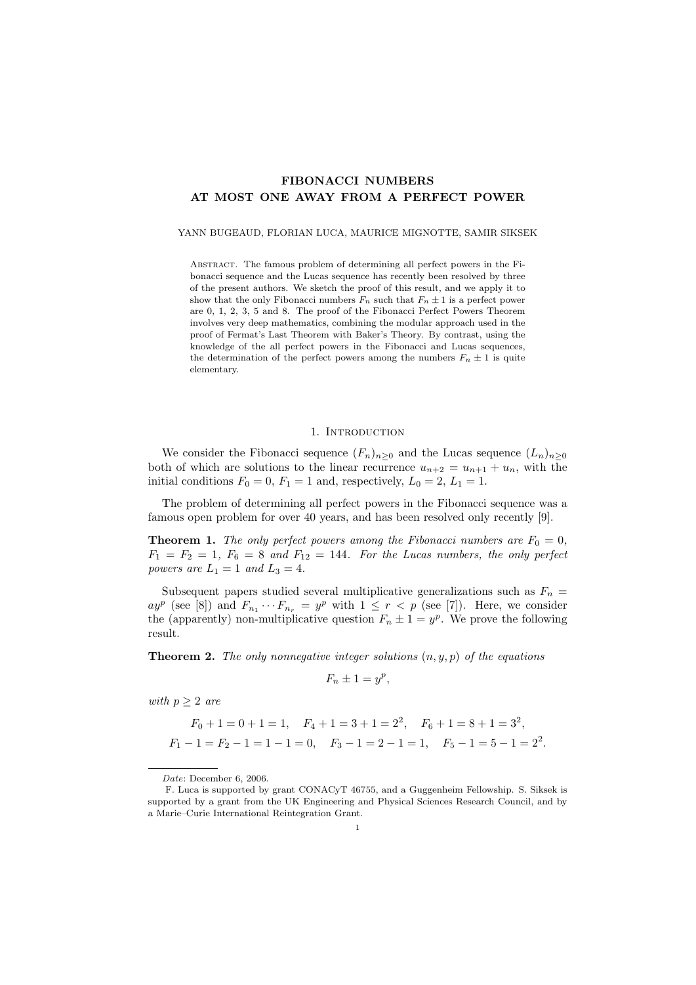# FIBONACCI NUMBERS AT MOST ONE AWAY FROM A PERFECT POWER

### YANN BUGEAUD, FLORIAN LUCA, MAURICE MIGNOTTE, SAMIR SIKSEK

Abstract. The famous problem of determining all perfect powers in the Fibonacci sequence and the Lucas sequence has recently been resolved by three of the present authors. We sketch the proof of this result, and we apply it to show that the only Fibonacci numbers  $F_n$  such that  $F_n \pm 1$  is a perfect power are 0, 1, 2, 3, 5 and 8. The proof of the Fibonacci Perfect Powers Theorem involves very deep mathematics, combining the modular approach used in the proof of Fermat's Last Theorem with Baker's Theory. By contrast, using the knowledge of the all perfect powers in the Fibonacci and Lucas sequences, the determination of the perfect powers among the numbers  $F_n \pm 1$  is quite elementary.

## 1. INTRODUCTION

We consider the Fibonacci sequence  $(F_n)_{n\geq 0}$  and the Lucas sequence  $(L_n)_{n\geq 0}$ both of which are solutions to the linear recurrence  $u_{n+2} = u_{n+1} + u_n$ , with the initial conditions  $F_0 = 0$ ,  $F_1 = 1$  and, respectively,  $L_0 = 2$ ,  $L_1 = 1$ .

The problem of determining all perfect powers in the Fibonacci sequence was a famous open problem for over 40 years, and has been resolved only recently [9].

**Theorem 1.** The only perfect powers among the Fibonacci numbers are  $F_0 = 0$ ,  $F_1 = F_2 = 1, F_6 = 8$  and  $F_{12} = 144$ . For the Lucas numbers, the only perfect powers are  $L_1 = 1$  and  $L_3 = 4$ .

Subsequent papers studied several multiplicative generalizations such as  $F_n =$  $ay^p$  (see [8]) and  $F_{n_1}\cdots F_{n_r} = y^p$  with  $1 \leq r < p$  (see [7]). Here, we consider the (apparently) non-multiplicative question  $F_n \pm 1 = y^p$ . We prove the following result.

**Theorem 2.** The only nonnegative integer solutions  $(n, y, p)$  of the equations

$$
F_n \pm 1 = y^p,
$$

with  $p \geq 2$  are

$$
F_0 + 1 = 0 + 1 = 1
$$
,  $F_4 + 1 = 3 + 1 = 2^2$ ,  $F_6 + 1 = 8 + 1 = 3^2$ ,  
 $F_1 - 1 = F_2 - 1 = 1 - 1 = 0$ ,  $F_3 - 1 = 2 - 1 = 1$ ,  $F_5 - 1 = 5 - 1 = 2^2$ .

Date: December 6, 2006.

F. Luca is supported by grant CONACyT 46755, and a Guggenheim Fellowship. S. Siksek is supported by a grant from the UK Engineering and Physical Sciences Research Council, and by a Marie–Curie International Reintegration Grant.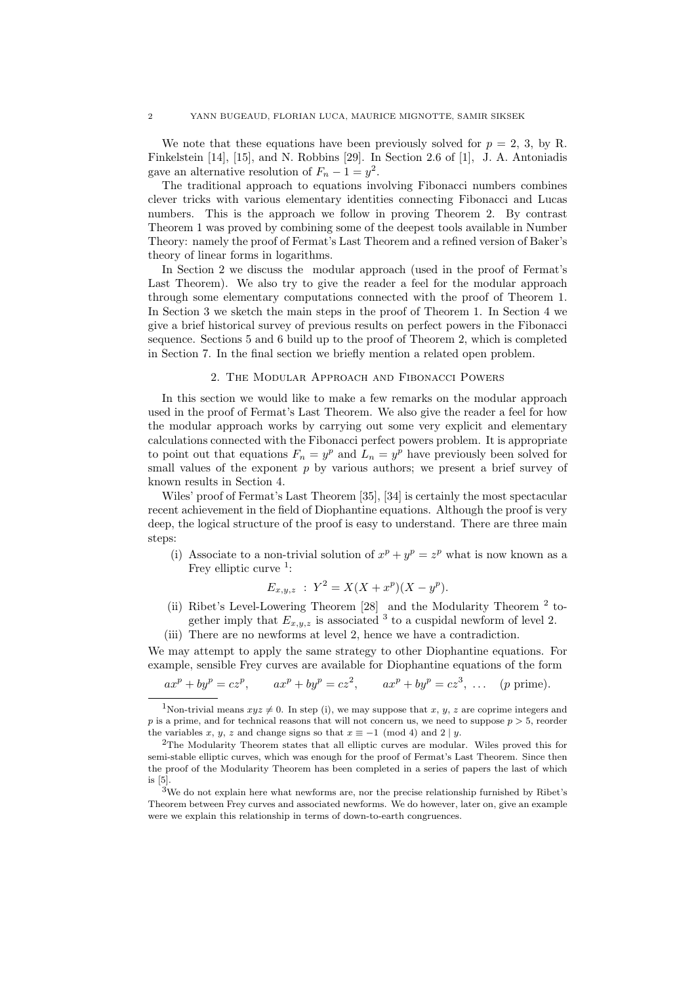We note that these equations have been previously solved for  $p = 2, 3$ , by R. Finkelstein [14], [15], and N. Robbins [29]. In Section 2.6 of [1], J. A. Antoniadis gave an alternative resolution of  $F_n - 1 = y^2$ .

The traditional approach to equations involving Fibonacci numbers combines clever tricks with various elementary identities connecting Fibonacci and Lucas numbers. This is the approach we follow in proving Theorem 2. By contrast Theorem 1 was proved by combining some of the deepest tools available in Number Theory: namely the proof of Fermat's Last Theorem and a refined version of Baker's theory of linear forms in logarithms.

In Section 2 we discuss the modular approach (used in the proof of Fermat's Last Theorem). We also try to give the reader a feel for the modular approach through some elementary computations connected with the proof of Theorem 1. In Section 3 we sketch the main steps in the proof of Theorem 1. In Section 4 we give a brief historical survey of previous results on perfect powers in the Fibonacci sequence. Sections 5 and 6 build up to the proof of Theorem 2, which is completed in Section 7. In the final section we briefly mention a related open problem.

## 2. The Modular Approach and Fibonacci Powers

In this section we would like to make a few remarks on the modular approach used in the proof of Fermat's Last Theorem. We also give the reader a feel for how the modular approach works by carrying out some very explicit and elementary calculations connected with the Fibonacci perfect powers problem. It is appropriate to point out that equations  $F_n = y^p$  and  $L_n = y^p$  have previously been solved for small values of the exponent  $p$  by various authors; we present a brief survey of known results in Section 4.

Wiles' proof of Fermat's Last Theorem [35], [34] is certainly the most spectacular recent achievement in the field of Diophantine equations. Although the proof is very deep, the logical structure of the proof is easy to understand. There are three main steps:

(i) Associate to a non-trivial solution of  $x^p + y^p = z^p$  what is now known as a Frey elliptic curve  $1$ :

$$
E_{x,y,z} : Y^2 = X(X + x^p)(X - y^p).
$$

- (ii) Ribet's Level-Lowering Theorem  $[28]$  and the Modularity Theorem  $^2$  together imply that  $E_{x,y,z}$  is associated <sup>3</sup> to a cuspidal newform of level 2.
- (iii) There are no newforms at level 2, hence we have a contradiction.

We may attempt to apply the same strategy to other Diophantine equations. For example, sensible Frey curves are available for Diophantine equations of the form

$$
ax^p + by^p = cz^p
$$
,  $ax^p + by^p = cz^2$ ,  $ax^p + by^p = cz^3$ , ... (p prime).

<sup>&</sup>lt;sup>1</sup>Non-trivial means  $xyz \neq 0$ . In step (i), we may suppose that x, y, z are coprime integers and p is a prime, and for technical reasons that will not concern us, we need to suppose  $p > 5$ , reorder the variables x, y, z and change signs so that  $x \equiv -1 \pmod{4}$  and  $2 \mid y$ .

<sup>2</sup>The Modularity Theorem states that all elliptic curves are modular. Wiles proved this for semi-stable elliptic curves, which was enough for the proof of Fermat's Last Theorem. Since then the proof of the Modularity Theorem has been completed in a series of papers the last of which is [5].

 $3$ We do not explain here what newforms are, nor the precise relationship furnished by Ribet's Theorem between Frey curves and associated newforms. We do however, later on, give an example were we explain this relationship in terms of down-to-earth congruences.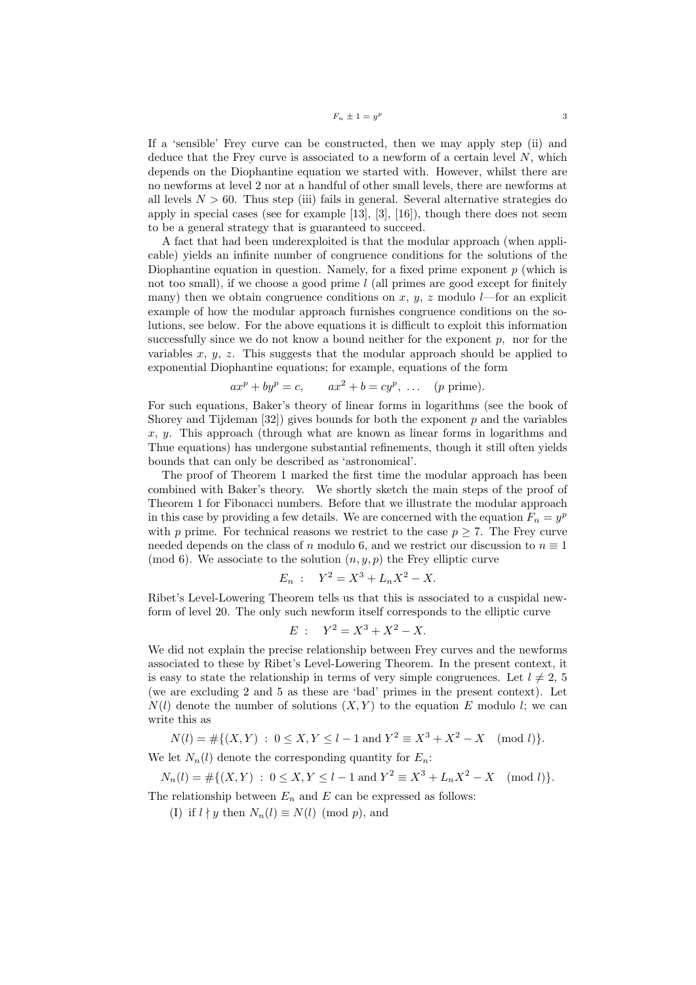$$
F_n \pm 1 = y^p
$$

If a 'sensible' Frey curve can be constructed, then we may apply step (ii) and deduce that the Frey curve is associated to a newform of a certain level  $N$ , which depends on the Diophantine equation we started with. However, whilst there are no newforms at level 2 nor at a handful of other small levels, there are newforms at all levels  $N > 60$ . Thus step (iii) fails in general. Several alternative strategies do apply in special cases (see for example  $[13]$ ,  $[3]$ ,  $[16]$ ), though there does not seem to be a general strategy that is guaranteed to succeed.

A fact that had been underexploited is that the modular approach (when applicable) yields an infinite number of congruence conditions for the solutions of the Diophantine equation in question. Namely, for a fixed prime exponent  $p$  (which is not too small), if we choose a good prime  $l$  (all primes are good except for finitely many) then we obtain congruence conditions on x, y, z modulo  $l$ —for an explicit example of how the modular approach furnishes congruence conditions on the solutions, see below. For the above equations it is difficult to exploit this information successfully since we do not know a bound neither for the exponent  $p$ , nor for the variables x,  $y$ , z. This suggests that the modular approach should be applied to exponential Diophantine equations; for example, equations of the form

$$
ax^p + by^p = c, \qquad ax^2 + b = cy^p, \ \dots \ \ (p \text{ prime}).
$$

For such equations, Baker's theory of linear forms in logarithms (see the book of Shorey and Tijdeman  $[32]$ ) gives bounds for both the exponent p and the variables  $x, y$ . This approach (through what are known as linear forms in logarithms and Thue equations) has undergone substantial refinements, though it still often yields bounds that can only be described as 'astronomical'.

The proof of Theorem 1 marked the first time the modular approach has been combined with Baker's theory. We shortly sketch the main steps of the proof of Theorem 1 for Fibonacci numbers. Before that we illustrate the modular approach in this case by providing a few details. We are concerned with the equation  $F_n = y^p$ with p prime. For technical reasons we restrict to the case  $p \geq 7$ . The Frey curve needed depends on the class of n modulo 6, and we restrict our discussion to  $n \equiv 1$ (mod 6). We associate to the solution  $(n, y, p)$  the Frey elliptic curve

$$
E_n: \quad Y^2 = X^3 + L_n X^2 - X.
$$

Ribet's Level-Lowering Theorem tells us that this is associated to a cuspidal newform of level 20. The only such newform itself corresponds to the elliptic curve

$$
E: \quad Y^2 = X^3 + X^2 - X.
$$

We did not explain the precise relationship between Frey curves and the newforms associated to these by Ribet's Level-Lowering Theorem. In the present context, it is easy to state the relationship in terms of very simple congruences. Let  $l \neq 2, 5$ (we are excluding 2 and 5 as these are 'bad' primes in the present context). Let  $N(l)$  denote the number of solutions  $(X, Y)$  to the equation E modulo l; we can write this as

$$
N(l) = #\{(X, Y) : 0 \le X, Y \le l - 1 \text{ and } Y^2 \equiv X^3 + X^2 - X \pmod{l}\}.
$$

We let  $N_n(l)$  denote the corresponding quantity for  $E_n$ :

 $N_n(l) = #\{(X,Y) : 0 \le X, Y \le l-1 \text{ and } Y^2 \equiv X^3 + L_n X^2 - X \pmod{l}\}.$ 

The relationship between  $E_n$  and E can be expressed as follows:

(I) if  $l \nmid y$  then  $N_n(l) \equiv N(l) \pmod{p}$ , and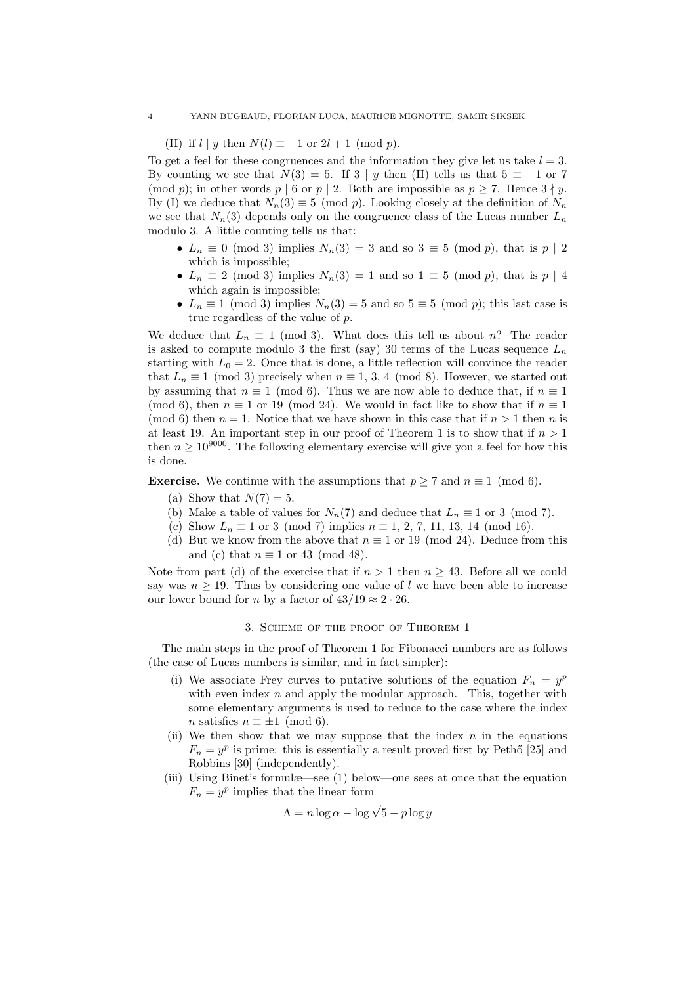(II) if  $l | y$  then  $N(l) \equiv -1$  or  $2l + 1 \pmod{p}$ .

To get a feel for these congruences and the information they give let us take  $l = 3$ . By counting we see that  $N(3) = 5$ . If 3 | y then (II) tells us that  $5 \equiv -1$  or 7 (mod p); in other words p | 6 or p | 2. Both are impossible as  $p \ge 7$ . Hence  $3 \nmid y$ . By (I) we deduce that  $N_n(3) \equiv 5 \pmod{p}$ . Looking closely at the definition of  $N_n$ we see that  $N_n(3)$  depends only on the congruence class of the Lucas number  $L_n$ modulo 3. A little counting tells us that:

- $L_n \equiv 0 \pmod{3}$  implies  $N_n(3) = 3$  and so  $3 \equiv 5 \pmod{p}$ , that is  $p \mid 2$ which is impossible;
- $L_n \equiv 2 \pmod{3}$  implies  $N_n(3) = 1$  and so  $1 \equiv 5 \pmod{p}$ , that is  $p \mid 4$ which again is impossible;
- $L_n \equiv 1 \pmod{3}$  implies  $N_n(3) = 5$  and so  $5 \equiv 5 \pmod{p}$ ; this last case is true regardless of the value of p.

We deduce that  $L_n \equiv 1 \pmod{3}$ . What does this tell us about n? The reader is asked to compute modulo 3 the first (say) 30 terms of the Lucas sequence  $L_n$ starting with  $L_0 = 2$ . Once that is done, a little reflection will convince the reader that  $L_n \equiv 1 \pmod{3}$  precisely when  $n \equiv 1, 3, 4 \pmod{8}$ . However, we started out by assuming that  $n \equiv 1 \pmod{6}$ . Thus we are now able to deduce that, if  $n \equiv 1$ (mod 6), then  $n \equiv 1$  or 19 (mod 24). We would in fact like to show that if  $n \equiv 1$ (mod 6) then  $n = 1$ . Notice that we have shown in this case that if  $n > 1$  then n is at least 19. An important step in our proof of Theorem 1 is to show that if  $n > 1$ then  $n \geq 10^{9000}$ . The following elementary exercise will give you a feel for how this is done.

**Exercise.** We continue with the assumptions that  $p \ge 7$  and  $n \equiv 1 \pmod{6}$ .

- (a) Show that  $N(7) = 5$ .
- (b) Make a table of values for  $N_n(7)$  and deduce that  $L_n \equiv 1$  or 3 (mod 7).
- (c) Show  $L_n \equiv 1$  or 3 (mod 7) implies  $n \equiv 1, 2, 7, 11, 13, 14 \pmod{16}$ .
- (d) But we know from the above that  $n \equiv 1$  or 19 (mod 24). Deduce from this and (c) that  $n \equiv 1$  or 43 (mod 48).

Note from part (d) of the exercise that if  $n > 1$  then  $n \geq 43$ . Before all we could say was  $n \geq 19$ . Thus by considering one value of l we have been able to increase our lower bound for *n* by a factor of  $43/19 \approx 2 \cdot 26$ .

## 3. Scheme of the proof of Theorem 1

The main steps in the proof of Theorem 1 for Fibonacci numbers are as follows (the case of Lucas numbers is similar, and in fact simpler):

- (i) We associate Frey curves to putative solutions of the equation  $F_n = y^p$ with even index  $n$  and apply the modular approach. This, together with some elementary arguments is used to reduce to the case where the index n satisfies  $n \equiv \pm 1 \pmod{6}$ .
- (ii) We then show that we may suppose that the index  $n$  in the equations  $F_n = y^p$  is prime: this is essentially a result proved first by Pethő [25] and Robbins [30] (independently).
- (iii) Using Binet's formulæ—see (1) below—one sees at once that the equation  $F_n = y^p$  implies that the linear form

$$
\Lambda = n \log \alpha - \log \sqrt{5} - p \log y
$$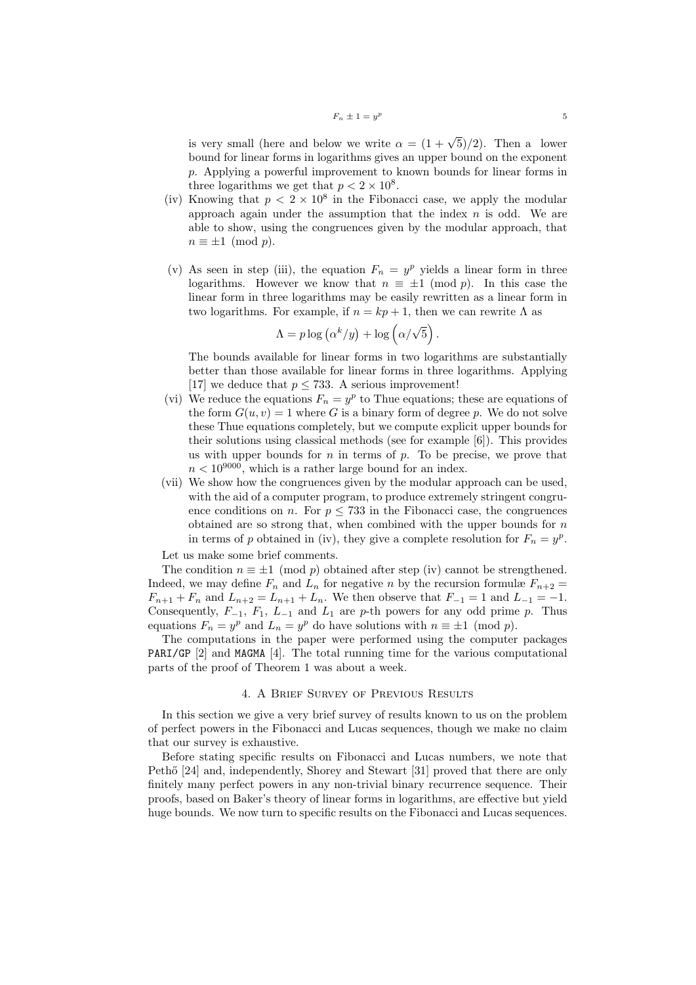is very small (here and below we write  $\alpha = (1 + \sqrt{5})/2$ ). Then a lower bound for linear forms in logarithms gives an upper bound on the exponent p. Applying a powerful improvement to known bounds for linear forms in three logarithms we get that  $p < 2 \times 10^8$ .

- (iv) Knowing that  $p < 2 \times 10^8$  in the Fibonacci case, we apply the modular approach again under the assumption that the index  $n$  is odd. We are able to show, using the congruences given by the modular approach, that  $n \equiv \pm 1 \pmod{p}$ .
- (v) As seen in step (iii), the equation  $F_n = y^p$  yields a linear form in three logarithms. However we know that  $n \equiv \pm 1 \pmod{p}$ . In this case the linear form in three logarithms may be easily rewritten as a linear form in two logarithms. For example, if  $n = kp + 1$ , then we can rewrite  $\Lambda$  as

$$
\Lambda = p \log (\alpha^k/y) + \log (\alpha/\sqrt{5}).
$$

The bounds available for linear forms in two logarithms are substantially better than those available for linear forms in three logarithms. Applying [17] we deduce that  $p \leq 733$ . A serious improvement!

- (vi) We reduce the equations  $F_n = y^p$  to Thue equations; these are equations of the form  $G(u, v) = 1$  where G is a binary form of degree p. We do not solve these Thue equations completely, but we compute explicit upper bounds for their solutions using classical methods (see for example [6]). This provides us with upper bounds for  $n$  in terms of  $p$ . To be precise, we prove that  $n<10^{9000}$  , which is a rather large bound for an index.
- (vii) We show how the congruences given by the modular approach can be used, with the aid of a computer program, to produce extremely stringent congruence conditions on n. For  $p \leq 733$  in the Fibonacci case, the congruences obtained are so strong that, when combined with the upper bounds for  $n$ in terms of p obtained in (iv), they give a complete resolution for  $F_n = y^p$ .

Let us make some brief comments.

The condition  $n \equiv \pm 1 \pmod{p}$  obtained after step (iv) cannot be strengthened. Indeed, we may define  $F_n$  and  $L_n$  for negative n by the recursion formulæ  $F_{n+2}$  $F_{n+1} + F_n$  and  $L_{n+2} = L_{n+1} + L_n$ . We then observe that  $F_{-1} = 1$  and  $L_{-1} = -1$ . Consequently,  $F_{-1}$ ,  $F_1$ ,  $L_{-1}$  and  $L_1$  are p-th powers for any odd prime p. Thus equations  $F_n = y^p$  and  $L_n = y^p$  do have solutions with  $n \equiv \pm 1 \pmod{p}$ .

The computations in the paper were performed using the computer packages PARI/GP [2] and MAGMA [4]. The total running time for the various computational parts of the proof of Theorem 1 was about a week.

# 4. A Brief Survey of Previous Results

In this section we give a very brief survey of results known to us on the problem of perfect powers in the Fibonacci and Lucas sequences, though we make no claim that our survey is exhaustive.

Before stating specific results on Fibonacci and Lucas numbers, we note that Pethő [24] and, independently, Shorey and Stewart [31] proved that there are only finitely many perfect powers in any non-trivial binary recurrence sequence. Their proofs, based on Baker's theory of linear forms in logarithms, are effective but yield huge bounds. We now turn to specific results on the Fibonacci and Lucas sequences.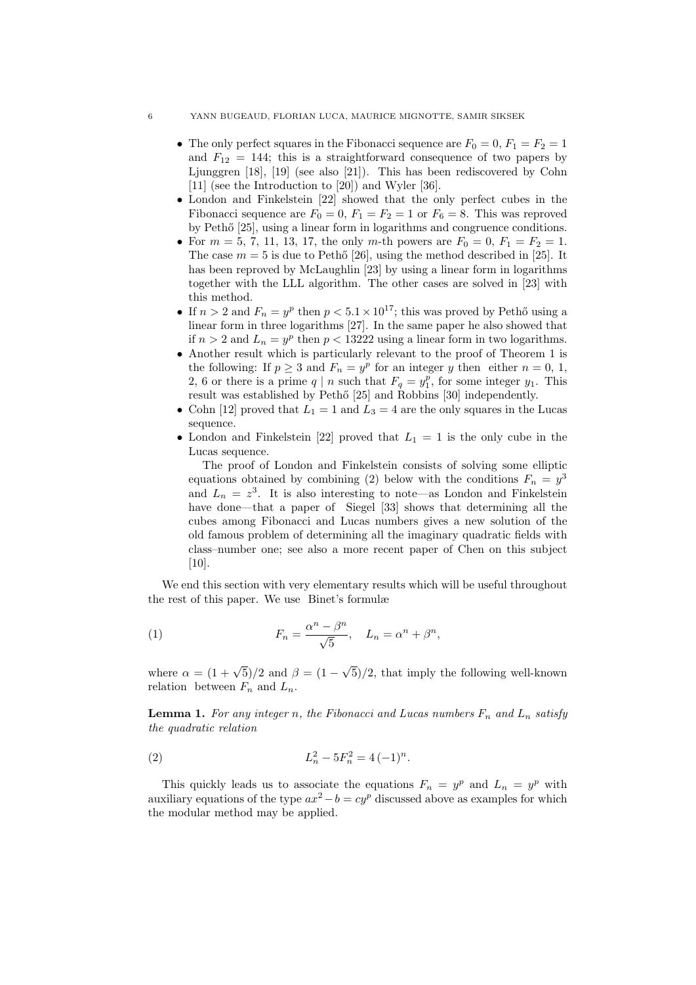## 6 YANN BUGEAUD, FLORIAN LUCA, MAURICE MIGNOTTE, SAMIR SIKSEK

- The only perfect squares in the Fibonacci sequence are  $F_0 = 0, F_1 = F_2 = 1$ and  $F_{12} = 144$ ; this is a straightforward consequence of two papers by Ljunggren [18], [19] (see also [21]). This has been rediscovered by Cohn [11] (see the Introduction to [20]) and Wyler [36].
- London and Finkelstein [22] showed that the only perfect cubes in the Fibonacci sequence are  $F_0 = 0$ ,  $F_1 = F_2 = 1$  or  $F_6 = 8$ . This was reproved by Pethő [25], using a linear form in logarithms and congruence conditions.
- For  $m = 5, 7, 11, 13, 17$ , the only m-th powers are  $F_0 = 0, F_1 = F_2 = 1$ . The case  $m = 5$  is due to Pethő [26], using the method described in [25]. It has been reproved by McLaughlin [23] by using a linear form in logarithms together with the LLL algorithm. The other cases are solved in [23] with this method.
- If  $n > 2$  and  $F_n = y^p$  then  $p < 5.1 \times 10^{17}$ ; this was proved by Pethő using a linear form in three logarithms [27]. In the same paper he also showed that if  $n > 2$  and  $L_n = y^p$  then  $p < 13222$  using a linear form in two logarithms.
- Another result which is particularly relevant to the proof of Theorem 1 is the following: If  $p \geq 3$  and  $F_n = y^p$  for an integer y then either  $n = 0, 1$ , 2, 6 or there is a prime  $q | n$  such that  $F_q = y_1^p$ , for some integer  $y_1$ . This result was established by Pethő [25] and Robbins [30] independently.
- Cohn [12] proved that  $L_1 = 1$  and  $L_3 = 4$  are the only squares in the Lucas sequence.
- London and Finkelstein [22] proved that  $L_1 = 1$  is the only cube in the Lucas sequence.

The proof of London and Finkelstein consists of solving some elliptic equations obtained by combining (2) below with the conditions  $F_n = y^3$ and  $L_n = z^3$ . It is also interesting to note—as London and Finkelstein have done—that a paper of Siegel [33] shows that determining all the cubes among Fibonacci and Lucas numbers gives a new solution of the old famous problem of determining all the imaginary quadratic fields with class–number one; see also a more recent paper of Chen on this subject [10].

We end this section with very elementary results which will be useful throughout the rest of this paper. We use Binet's formulæ

(1) 
$$
F_n = \frac{\alpha^n - \beta^n}{\sqrt{5}}, \quad L_n = \alpha^n + \beta^n,
$$

where  $\alpha = (1 + \sqrt{5})/2$  and  $\beta = (1 -$ √ 5)/2, that imply the following well-known relation between  $F_n$  and  $L_n$ .

**Lemma 1.** For any integer n, the Fibonacci and Lucas numbers  $F_n$  and  $L_n$  satisfy the quadratic relation

(2) 
$$
L_n^2 - 5F_n^2 = 4(-1)^n.
$$

This quickly leads us to associate the equations  $F_n = y^p$  and  $L_n = y^p$  with auxiliary equations of the type  $ax^2 - b = cy^p$  discussed above as examples for which the modular method may be applied.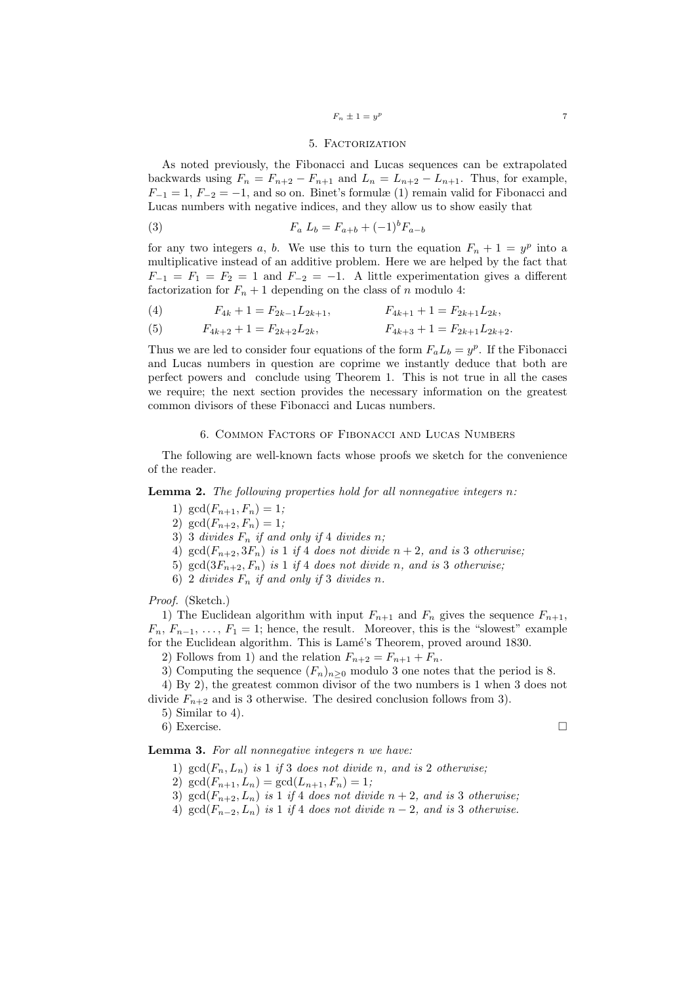## $F_n \pm 1 = y^p$

### 5. Factorization

As noted previously, the Fibonacci and Lucas sequences can be extrapolated backwards using  $F_n = F_{n+2} - F_{n+1}$  and  $L_n = L_{n+2} - L_{n+1}$ . Thus, for example,  $F_{-1} = 1, F_{-2} = -1$ , and so on. Binet's formulæ (1) remain valid for Fibonacci and Lucas numbers with negative indices, and they allow us to show easily that

(3) 
$$
F_a L_b = F_{a+b} + (-1)^b F_{a-b}
$$

for any two integers a, b. We use this to turn the equation  $F_n + 1 = y^p$  into a multiplicative instead of an additive problem. Here we are helped by the fact that  $F_{-1} = F_1 = F_2 = 1$  and  $F_{-2} = -1$ . A little experimentation gives a different factorization for  $F_n + 1$  depending on the class of n modulo 4:

(4) 
$$
F_{4k} + 1 = F_{2k-1}L_{2k+1}, \qquad F_{4k+1} + 1 = F_{2k+1}L_{2k},
$$

(5) 
$$
F_{4k+2} + 1 = F_{2k+2}L_{2k}, \qquad F_{4k+3} + 1 = F_{2k+1}L_{2k+2}.
$$

Thus we are led to consider four equations of the form  $F_a L_b = y^p$ . If the Fibonacci and Lucas numbers in question are coprime we instantly deduce that both are perfect powers and conclude using Theorem 1. This is not true in all the cases we require; the next section provides the necessary information on the greatest common divisors of these Fibonacci and Lucas numbers.

## 6. Common Factors of Fibonacci and Lucas Numbers

The following are well-known facts whose proofs we sketch for the convenience of the reader.

**Lemma 2.** The following properties hold for all nonnegative integers  $n$ :

- 1)  $gcd(F_{n+1}, F_n) = 1;$
- 2)  $gcd(F_{n+2}, F_n) = 1;$
- 3) 3 divides  $F_n$  if and only if 4 divides n;
- 4)  $gcd(F_{n+2}, 3F_n)$  is 1 if 4 does not divide  $n+2$ , and is 3 otherwise;
- 5) gcd $(3F_{n+2}, F_n)$  is 1 if 4 does not divide n, and is 3 otherwise;
- 6) 2 divides  $F_n$  if and only if 3 divides n.

Proof. (Sketch.)

1) The Euclidean algorithm with input  $F_{n+1}$  and  $F_n$  gives the sequence  $F_{n+1}$ ,  $F_n, F_{n-1}, \ldots, F_1 = 1$ ; hence, the result. Moreover, this is the "slowest" example for the Euclidean algorithm. This is Lamé's Theorem, proved around 1830.

2) Follows from 1) and the relation  $F_{n+2} = F_{n+1} + F_n$ .

3) Computing the sequence  $(F_n)_{n\geq 0}$  modulo 3 one notes that the period is 8.

4) By 2), the greatest common divisor of the two numbers is 1 when 3 does not divide  $F_{n+2}$  and is 3 otherwise. The desired conclusion follows from 3).

5) Similar to 4).

6) Exercise.

# Lemma 3. For all nonnegative integers n we have:

- 1)  $gcd(F_n, L_n)$  is 1 if 3 does not divide n, and is 2 otherwise;
- 2)  $\gcd(F_{n+1}, L_n) = \gcd(L_{n+1}, F_n) = 1;$
- 3)  $gcd(F_{n+2}, L_n)$  is 1 if 4 does not divide  $n+2$ , and is 3 otherwise;
- 4)  $gcd(F_{n-2}, L_n)$  is 1 if 4 does not divide  $n-2$ , and is 3 otherwise.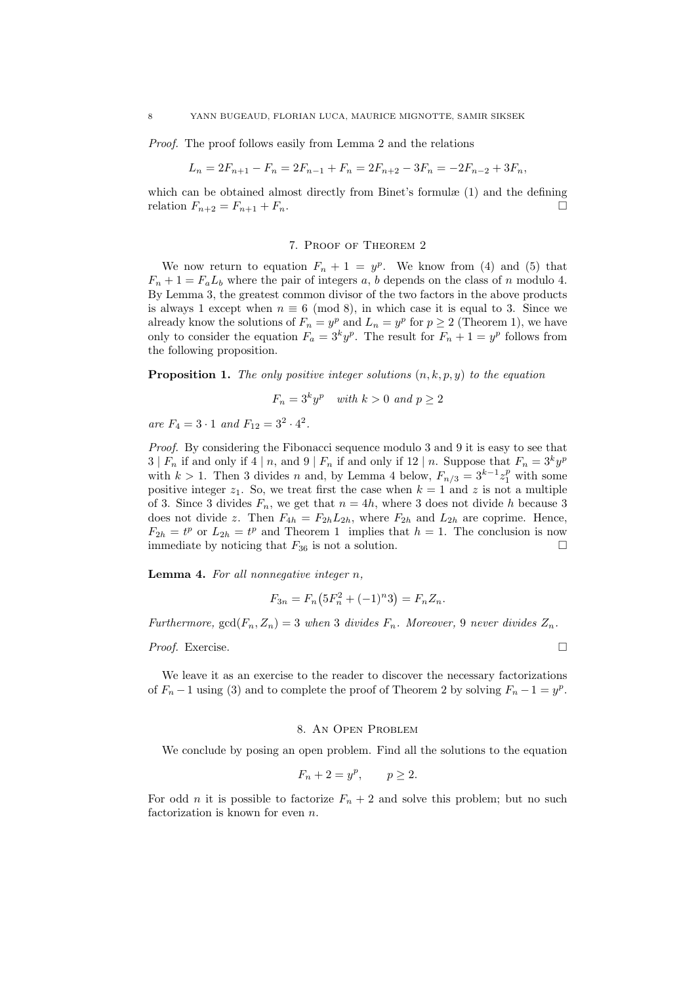Proof. The proof follows easily from Lemma 2 and the relations

$$
L_n = 2F_{n+1} - F_n = 2F_{n-1} + F_n = 2F_{n+2} - 3F_n = -2F_{n-2} + 3F_n,
$$

which can be obtained almost directly from Binet's formulæ (1) and the defining relation  $F_{n+2} = F_{n+1} + F_n$ .

#### 7. Proof of Theorem 2

We now return to equation  $F_n + 1 = y^p$ . We know from (4) and (5) that  $F_n + 1 = F_a L_b$  where the pair of integers a, b depends on the class of n modulo 4. By Lemma 3, the greatest common divisor of the two factors in the above products is always 1 except when  $n \equiv 6 \pmod{8}$ , in which case it is equal to 3. Since we already know the solutions of  $F_n = y^p$  and  $L_n = y^p$  for  $p \ge 2$  (Theorem 1), we have only to consider the equation  $F_a = 3^k y^p$ . The result for  $F_n + 1 = y^p$  follows from the following proposition.

**Proposition 1.** The only positive integer solutions  $(n, k, p, y)$  to the equation

$$
F_n = 3^k y^p \quad \text{with } k > 0 \text{ and } p \ge 2
$$

are  $F_4 = 3 \cdot 1$  and  $F_{12} = 3^2 \cdot 4^2$ .

Proof. By considering the Fibonacci sequence modulo 3 and 9 it is easy to see that  $3 | F_n$  if and only if  $4 | n$ , and  $9 | F_n$  if and only if  $12 | n$ . Suppose that  $F_n = 3^k y^p$ with  $k > 1$ . Then 3 divides n and, by Lemma 4 below,  $F_{n/3} = 3^{k-1} z_1^p$  with some positive integer  $z_1$ . So, we treat first the case when  $k = 1$  and z is not a multiple of 3. Since 3 divides  $F_n$ , we get that  $n = 4h$ , where 3 does not divide h because 3 does not divide z. Then  $F_{4h} = F_{2h}L_{2h}$ , where  $F_{2h}$  and  $L_{2h}$  are coprime. Hence,  $F_{2h} = t^p$  or  $L_{2h} = t^p$  and Theorem 1 implies that  $h = 1$ . The conclusion is now immediate by noticing that  $F_{36}$  is not a solution.

**Lemma 4.** For all nonnegative integer  $n$ ,

$$
F_{3n} = F_n(5F_n^2 + (-1)^n 3) = F_n Z_n.
$$

Furthermore,  $gcd(F_n, Z_n) = 3$  when 3 divides  $F_n$ . Moreover, 9 never divides  $Z_n$ .

*Proof.* Exercise.  $\Box$ 

We leave it as an exercise to the reader to discover the necessary factorizations of  $F_n - 1$  using (3) and to complete the proof of Theorem 2 by solving  $F_n - 1 = y^p$ .

#### 8. An Open Problem

We conclude by posing an open problem. Find all the solutions to the equation

$$
F_n + 2 = y^p, \qquad p \ge 2.
$$

For odd *n* it is possible to factorize  $F_n + 2$  and solve this problem; but no such factorization is known for even n.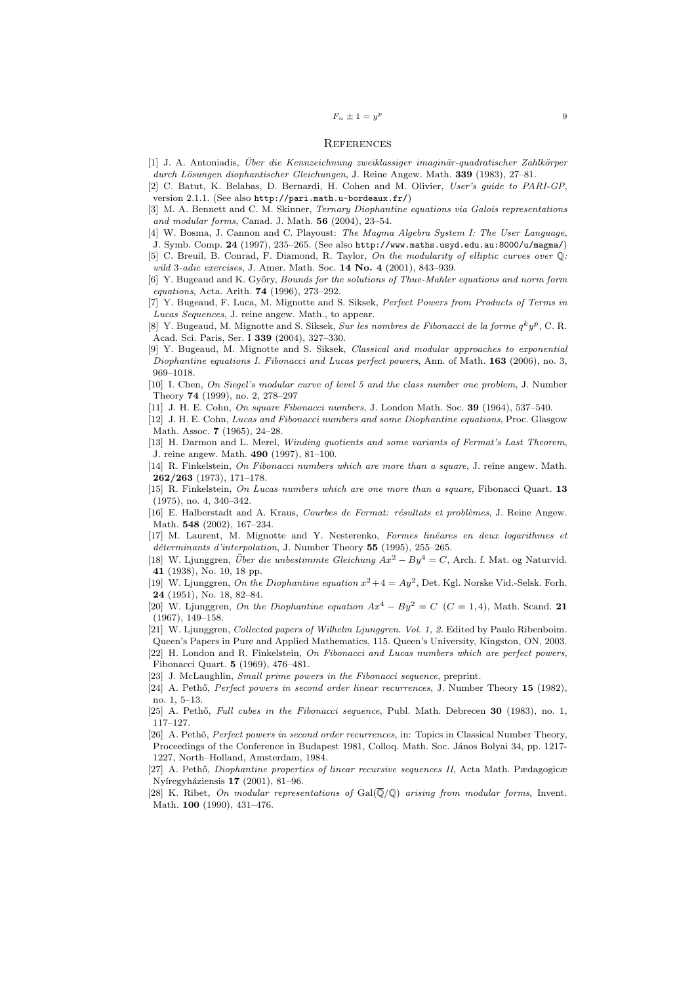#### **REFERENCES**

- [1] J. A. Antoniadis, Über die Kennzeichnung zweiklassiger imaginär-quadratischer Zahlkörper
- durch Lösungen diophantischer Gleichungen, J. Reine Angew. Math. 339 (1983), 27–81.
- [2] C. Batut, K. Belabas, D. Bernardi, H. Cohen and M. Olivier, User's guide to PARI-GP, version 2.1.1. (See also http://pari.math.u-bordeaux.fr/)
- [3] M. A. Bennett and C. M. Skinner, *Ternary Diophantine equations via Galois representations* and modular forms, Canad. J. Math. 56 (2004), 23–54.
- [4] W. Bosma, J. Cannon and C. Playoust: The Magma Algebra System I: The User Language,
- J. Symb. Comp. 24 (1997), 235–265. (See also http://www.maths.usyd.edu.au:8000/u/magma/) [5] C. Breuil, B. Conrad, F. Diamond, R. Taylor, On the modularity of elliptic curves over Q:
- wild 3-adic exercises, J. Amer. Math. Soc. 14 No. 4 (2001), 843-939.
- [6] Y. Bugeaud and K. Győry, *Bounds for the solutions of Thue-Mahler equations and norm form* equations, Acta. Arith. 74 (1996), 273–292.
- [7] Y. Bugeaud, F. Luca, M. Mignotte and S. Siksek, Perfect Powers from Products of Terms in Lucas Sequences, J. reine angew. Math., to appear.
- [8] Y. Bugeaud, M. Mignotte and S. Siksek, Sur les nombres de Fibonacci de la forme  $q^k y^p$ , C. R. Acad. Sci. Paris, Ser. I 339 (2004), 327–330.
- [9] Y. Bugeaud, M. Mignotte and S. Siksek, Classical and modular approaches to exponential Diophantine equations I. Fibonacci and Lucas perfect powers, Ann. of Math. 163 (2006), no. 3, 969–1018.
- [10] I. Chen, On Siegel's modular curve of level 5 and the class number one problem, J. Number Theory 74 (1999), no. 2, 278–297
- [11] J. H. E. Cohn, On square Fibonacci numbers, J. London Math. Soc. 39 (1964), 537–540.
- [12] J. H. E. Cohn, Lucas and Fibonacci numbers and some Diophantine equations, Proc. Glasgow
- Math. Assoc. **7** (1965), 24-28.
- [13] H. Darmon and L. Merel, Winding quotients and some variants of Fermat's Last Theorem, J. reine angew. Math. 490 (1997), 81–100.
- [14] R. Finkelstein, On Fibonacci numbers which are more than a square, J. reine angew. Math. 262/263 (1973), 171–178.
- [15] R. Finkelstein, On Lucas numbers which are one more than a square, Fibonacci Quart. 13 (1975), no. 4, 340–342.
- [16] E. Halberstadt and A. Kraus, *Courbes de Fermat: résultats et problèmes*, J. Reine Angew. Math. 548 (2002), 167–234.
- [17] M. Laurent, M. Mignotte and Y. Nesterenko, Formes linéares en deux logarithmes et déterminants d'interpolation, J. Number Theory 55 (1995), 255-265.
- [18] W. Ljunggren, *Über die unbestimmte Gleichung*  $Ax^2 By^4 = C$ , Arch. f. Mat. og Naturvid. 41 (1938), No. 10, 18 pp.
- [19] W. Ljunggren, On the Diophantine equation  $x^2 + 4 = Ay^2$ , Det. Kgl. Norske Vid.-Selsk. Forh. 24 (1951), No. 18, 82–84.
- [20] W. Ljunggren, On the Diophantine equation  $Ax^4 By^2 = C$  (C = 1, 4), Math. Scand. 21 (1967), 149–158.
- [21] W. Ljunggren, Collected papers of Wilhelm Ljunggren. Vol. 1, 2. Edited by Paulo Ribenboim. Queen's Papers in Pure and Applied Mathematics, 115. Queen's University, Kingston, ON, 2003. [22] H. London and R. Finkelstein, On Fibonacci and Lucas numbers which are perfect powers,
- Fibonacci Quart. 5 (1969), 476–481.
- [23] J. McLaughlin, *Small prime powers in the Fibonacci sequence*, preprint.
- [24] A. Pethő, Perfect powers in second order linear recurrences, J. Number Theory 15 (1982), no. 1, 5–13.
- [25] A. Pethő, Full cubes in the Fibonacci sequence, Publ. Math. Debrecen  $30$  (1983), no. 1, 117–127.
- [26] A. Pethő, Perfect powers in second order recurrences, in: Topics in Classical Number Theory, Proceedings of the Conference in Budapest 1981, Colloq. Math. Soc. János Bolyai 34, pp. 1217-1227, North–Holland, Amsterdam, 1984.
- [27] A. Pethő, *Diophantine properties of linear recursive sequences II*, Acta Math. Pædagogicæ Nyíregyháziensis 17 (2001), 81-96.
- [28] K. Ribet, On modular representations of  $Gal(\overline{\mathbb{Q}}/\mathbb{Q})$  arising from modular forms, Invent. Math. 100 (1990), 431–476.